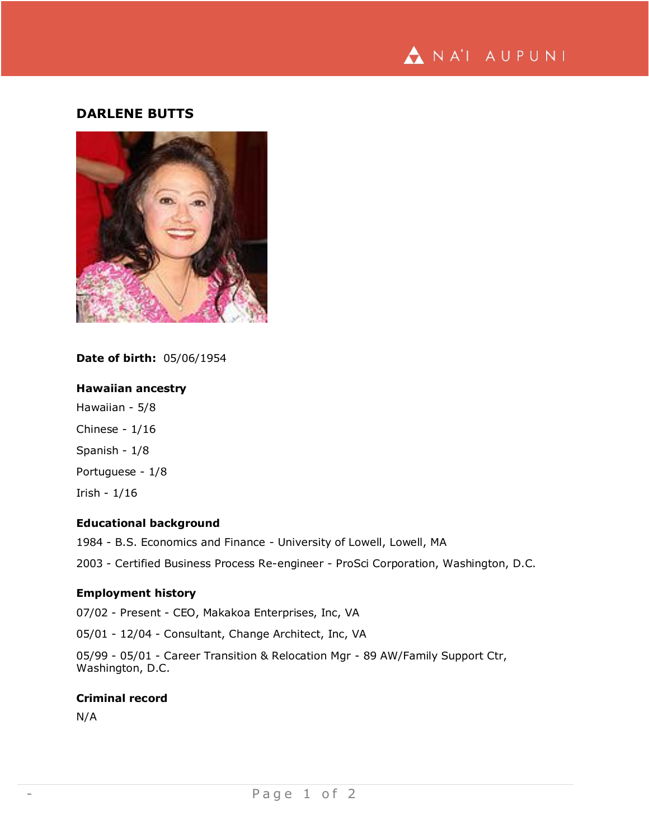

# **DARLENE BUTTS**



**Date of birth:** 05/06/1954

### **Hawaiian ancestry**

Hawaiian - 5/8 Chinese - 1/16 Spanish - 1/8 Portuguese - 1/8 Irish - 1/16

### **Educational background**

1984 - B.S. Economics and Finance - University of Lowell, Lowell, MA

2003 - Certified Business Process Re-engineer - ProSci Corporation, Washington, D.C.

## **Employment history**

07/02 - Present - CEO, Makakoa Enterprises, Inc, VA

05/01 - 12/04 - Consultant, Change Architect, Inc, VA

05/99 - 05/01 - Career Transition & Relocation Mgr - 89 AW/Family Support Ctr, Washington, D.C.

### **Criminal record**

N/A